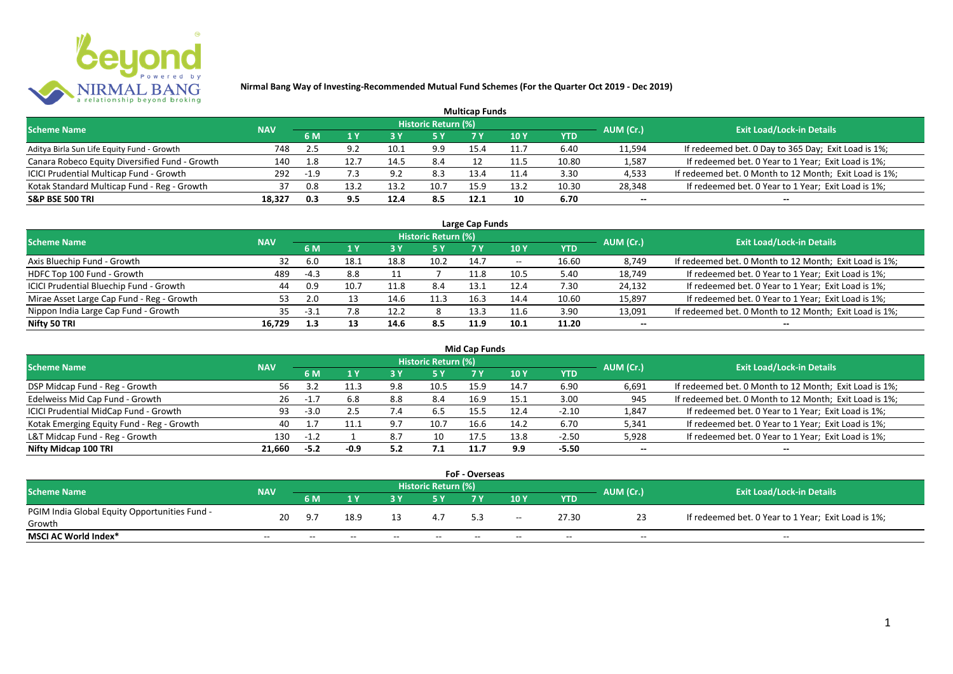

|                                                |            |        |     |      |                            | <b>Multicap Funds</b> |                 |            |           |                                                        |
|------------------------------------------------|------------|--------|-----|------|----------------------------|-----------------------|-----------------|------------|-----------|--------------------------------------------------------|
| <b>Scheme Name</b>                             | <b>NAV</b> |        |     |      | <b>Historic Return (%)</b> |                       |                 |            | AUM (Cr.) | <b>Exit Load/Lock-in Details</b>                       |
|                                                |            | 6 M    |     | 73 Y | /5 Y                       |                       | 10 <sub>Y</sub> | <b>YTD</b> |           |                                                        |
| Aditya Birla Sun Life Equity Fund - Growth     | 748        | 2.5    | Ωſ  | 10.1 | 9.9                        | 15.4                  | 11.7            | 6.40       | 11,594    | If redeemed bet. 0 Day to 365 Day; Exit Load is 1%;    |
| Canara Robeco Equity Diversified Fund - Growth | 140        | 1.8    |     | 14.5 | 8.4                        |                       | 11.5            | 10.80      | 1,587     | If redeemed bet. 0 Year to 1 Year; Exit Load is 1%;    |
| ICICI Prudential Multicap Fund - Growth        | 292        | $-1.9$ |     | 9.2  | 8.3                        | 13.4                  |                 | 3.30       | 4,533     | If redeemed bet. 0 Month to 12 Month; Exit Load is 1%; |
| Kotak Standard Multicap Fund - Reg - Growth    | 37         | 0.8    |     | 13.2 | 10.7                       | 15.9                  | 13.2            | 10.30      | 28,348    | If redeemed bet. 0 Year to 1 Year; Exit Load is 1%;    |
| <b>S&amp;P BSE 500 TRI</b>                     | 18,327     | 0.3    | 9.5 | 12.4 | 8.5                        | 12.1                  | 10              | 6.70       | $- -$     | --                                                     |

| Large Cap Funds                           |            |        |      |      |                            |      |       |       |                          |                                                        |  |  |  |
|-------------------------------------------|------------|--------|------|------|----------------------------|------|-------|-------|--------------------------|--------------------------------------------------------|--|--|--|
| <b>Scheme Name</b>                        | <b>NAV</b> |        |      |      | <b>Historic Return (%)</b> |      |       |       | AUM (Cr.)                | <b>Exit Load/Lock-in Details</b>                       |  |  |  |
|                                           |            | 6 M    |      |      | 5 Y                        |      | 10 Y  | YTD   |                          |                                                        |  |  |  |
| Axis Bluechip Fund - Growth               | 32         | -6.0   | 18.1 | 18.8 | 10.2                       | 14.7 | $- -$ | 16.60 | 8,749                    | If redeemed bet. 0 Month to 12 Month; Exit Load is 1%; |  |  |  |
| HDFC Top 100 Fund - Growth                | 489        | $-4.3$ | 8.8  |      |                            | 11.8 | 10.5  | 5.40  | 18,749                   | If redeemed bet. 0 Year to 1 Year; Exit Load is 1%;    |  |  |  |
| ICICI Prudential Bluechip Fund - Growth   | 44         | 0.9    | 10.7 | 11.8 | 8.4                        | 13.1 | 12.4  | 7.30  | 24,132                   | If redeemed bet. 0 Year to 1 Year; Exit Load is 1%;    |  |  |  |
| Mirae Asset Large Cap Fund - Reg - Growth | 53         | 2.0    |      | 14.6 | 11.3                       | 16.3 | 14.4  | 10.60 | 15,897                   | If redeemed bet. 0 Year to 1 Year; Exit Load is 1%;    |  |  |  |
| Nippon India Large Cap Fund - Growth      | 35         | $-3.1$ | 7.8  | 12.2 |                            | 13.3 | 11.6  | 3.90  | 13,091                   | If redeemed bet. 0 Month to 12 Month; Exit Load is 1%; |  |  |  |
| Nifty 50 TRI                              | 16,729     | 1.3    | 13   | 14.6 | 8.5                        | 11.9 | 10.1  | 11.20 | $\overline{\phantom{a}}$ |                                                        |  |  |  |

| <b>Mid Cap Funds</b>                      |            |        |      |     |                            |      |      |            |           |                                                        |  |  |  |
|-------------------------------------------|------------|--------|------|-----|----------------------------|------|------|------------|-----------|--------------------------------------------------------|--|--|--|
| <b>Scheme Name</b>                        | <b>NAV</b> |        |      |     | <b>Historic Return (%)</b> |      |      |            | AUM (Cr.) | <b>Exit Load/Lock-in Details</b>                       |  |  |  |
|                                           |            | 6 M    |      |     | 5 Y                        |      | 10 Y | <b>YTD</b> |           |                                                        |  |  |  |
| DSP Midcap Fund - Reg - Growth            | 56         |        |      | 9.8 | 10.5                       | 15.9 | 14.7 | 6.90       | 6,691     | If redeemed bet. 0 Month to 12 Month; Exit Load is 1%; |  |  |  |
| Edelweiss Mid Cap Fund - Growth           | 26         | $-1.7$ | 6.8  | 8.8 | 8.4                        | 16.9 | 15.1 | 3.00       | 945       | If redeemed bet. 0 Month to 12 Month; Exit Load is 1%; |  |  |  |
| ICICI Prudential MidCap Fund - Growth     | 93         | $-3.0$ | 2.5  | 7.4 | 6.5                        | 15.5 | 12.4 | $-2.10$    | 1,847     | If redeemed bet. 0 Year to 1 Year; Exit Load is 1%;    |  |  |  |
| Kotak Emerging Equity Fund - Reg - Growth | 40         |        |      | 9.7 | 10.7                       | 16.6 | 14.2 | 6.70       | 5,341     | If redeemed bet. 0 Year to 1 Year; Exit Load is 1%;    |  |  |  |
| L&T Midcap Fund - Reg - Growth            | 130        | $-1.2$ |      | 8.7 | 10                         | 17.5 | 13.8 | $-2.50$    | 5,928     | If redeemed bet. 0 Year to 1 Year; Exit Load is 1%;    |  |  |  |
| Nifty Midcap 100 TRI                      | 21.660     | $-5.2$ | -0.9 | 5.2 | 7.1                        | 11.7 | 9.9  | $-5.50$    | $- -$     | --                                                     |  |  |  |

| <b>FoF - Overseas</b>                         |            |       |       |       |                     |       |       |       |           |                                                     |  |  |  |
|-----------------------------------------------|------------|-------|-------|-------|---------------------|-------|-------|-------|-----------|-----------------------------------------------------|--|--|--|
| <b>Scheme Name</b>                            | <b>NAV</b> |       |       |       | Historic Return (%) |       |       |       |           | <b>Exit Load/Lock-in Details</b>                    |  |  |  |
|                                               |            | 6 M   |       |       |                     |       | 10Y   | YTD   | AUM (Cr.) |                                                     |  |  |  |
| PGIM India Global Equity Opportunities Fund - | 20         | -9.7  | 18.9  |       |                     |       |       | 27.30 |           | If redeemed bet. 0 Year to 1 Year; Exit Load is 1%; |  |  |  |
| Growth                                        |            |       |       |       |                     |       | $- -$ |       |           |                                                     |  |  |  |
| MSCI AC World Index*                          | $- -$      | $- -$ | $- -$ | $- -$ | $- -$               | $- -$ | $- -$ | $- -$ | $- -$     | $- -$                                               |  |  |  |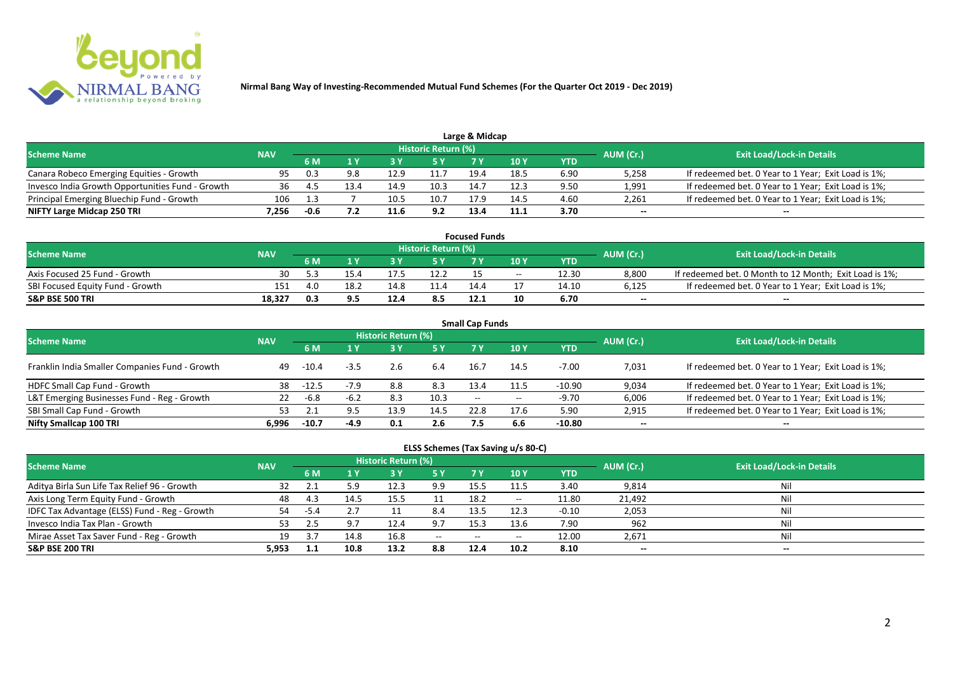

| <b>Scheme Name</b>                               | <b>NAV</b> |      |      |      | Historic Return (%) |      |      |      | AUM (Cr.) | <b>Exit Load/Lock-in Details</b>                    |
|--------------------------------------------------|------------|------|------|------|---------------------|------|------|------|-----------|-----------------------------------------------------|
|                                                  |            |      |      |      | 5 Y                 |      |      | YTD  |           |                                                     |
| Canara Robeco Emerging Equities - Growth         | 95         | 0.3  |      | 12.9 |                     | 19.4 | 18.5 | 6.90 | 5,258     | If redeemed bet. 0 Year to 1 Year; Exit Load is 1%; |
| Invesco India Growth Opportunities Fund - Growth | 36         |      | 13.4 | 14.9 | 10.3                | 14.7 | 12.3 | 9.50 | 1,991     | If redeemed bet. 0 Year to 1 Year; Exit Load is 1%; |
| Principal Emerging Bluechip Fund - Growth        | 106        | ્ર   |      | 10.5 | 10.                 | 17.9 | 14.5 | 4.60 | 2,261     | If redeemed bet. 0 Year to 1 Year; Exit Load is 1%; |
| NIFTY Large Midcap 250 TRI                       | .256       | -0.6 |      | 11.6 | 9.2                 | 13.4 | 11.1 | 3.70 | $- -$     | $-$                                                 |

| <b>Focused Funds</b>             |            |     |      |      |                     |      |            |       |           |                                                        |  |  |  |
|----------------------------------|------------|-----|------|------|---------------------|------|------------|-------|-----------|--------------------------------------------------------|--|--|--|
| <b>Scheme Name</b>               | <b>NAV</b> |     |      |      | Historic Return (%) |      |            |       | AUM (Cr.) | <b>Exit Load/Lock-in Details</b>                       |  |  |  |
|                                  |            | 6 M |      |      | 5 Y                 |      | <b>10Y</b> | YTD   |           |                                                        |  |  |  |
| Axis Focused 25 Fund - Growth    | 30         |     | 15.4 |      | 12.2                |      | $- -$      | 12.30 | 8.800     | If redeemed bet. 0 Month to 12 Month; Exit Load is 1%; |  |  |  |
| SBI Focused Equity Fund - Growth | 151        | 4.0 | 18.2 |      |                     | 14.4 |            | 14.10 | 6,125     | If redeemed bet. 0 Year to 1 Year; Exit Load is 1%;    |  |  |  |
| <b>S&amp;P BSE 500 TRI</b>       | 18.327     | 0.3 |      | 12.4 | 8.5                 | 12.1 |            | 6.70  | $- -$     | $- -$                                                  |  |  |  |

|                                                |            |         |        |                     |           | <b>Small Cap Funds</b> |            |            |           |                                                     |
|------------------------------------------------|------------|---------|--------|---------------------|-----------|------------------------|------------|------------|-----------|-----------------------------------------------------|
| <b>Scheme Name</b>                             | <b>NAV</b> |         |        | Historic Return (%) |           |                        |            |            | AUM (Cr.) | <b>Exit Load/Lock-in Details</b>                    |
|                                                |            | 6 M     | 1 Y    | 3Y                  | <b>5Y</b> | <b>7Y</b>              | <b>10Y</b> | <b>YTD</b> |           |                                                     |
| Franklin India Smaller Companies Fund - Growth | 49         | $-10.4$ | $-3.5$ | 2.6                 | 6.4       | 16.7                   | 14.5       | $-7.00$    | 7,031     | If redeemed bet. 0 Year to 1 Year; Exit Load is 1%; |
| HDFC Small Cap Fund - Growth                   | 38         | $-12.5$ | $-7.9$ | 8.8                 | 8.3       | 13.4                   | 11.5       | $-10.90$   | 9,034     | If redeemed bet. 0 Year to 1 Year; Exit Load is 1%; |
| L&T Emerging Businesses Fund - Reg - Growth    | 22         | $-6.8$  | $-6.2$ | 8.3                 | 10.3      | $- -$                  | $- -$      | $-9.70$    | 6,006     | If redeemed bet. 0 Year to 1 Year; Exit Load is 1%; |
| SBI Small Cap Fund - Growth                    | 53         |         |        | 13.9                | 14.5      | 22.8                   | 17.6       | 5.90       | 2,915     | If redeemed bet. 0 Year to 1 Year; Exit Load is 1%; |
| Nifty Smallcap 100 TRI                         | 6.996      | $-10.7$ | $-4.9$ | 0.1                 | 2.6       | 7.5                    | 6.6        | -10.80     | $-$       | $\overline{\phantom{a}}$                            |

| ELSS Schemes (Tax Saving u/s 80-C)            |            |      |            |                     |       |       |                          |         |           |                                  |  |  |  |  |
|-----------------------------------------------|------------|------|------------|---------------------|-------|-------|--------------------------|---------|-----------|----------------------------------|--|--|--|--|
| <b>Scheme Name</b>                            | <b>NAV</b> |      |            | Historic Return (%) |       |       |                          |         | AUM (Cr.) | <b>Exit Load/Lock-in Details</b> |  |  |  |  |
|                                               |            | 6 M  | <b>1 Y</b> | <b>3Y</b>           | 5 Y   | 7 Y   | 10Y                      | YTD     |           |                                  |  |  |  |  |
| Aditya Birla Sun Life Tax Relief 96 - Growth  | 32         |      | 5.9        | 12.3                | 9.9   | 15.5  | 11.5                     | 3.40    | 9,814     | Nil                              |  |  |  |  |
| Axis Long Term Equity Fund - Growth           | 48         | 4.3  | 14.5       | 15.5                |       | 18.2  | $- -$                    | 11.80   | 21,492    | Nil                              |  |  |  |  |
| IDFC Tax Advantage (ELSS) Fund - Reg - Growth | 54         | -5.4 | 2.7        | 11                  | 8.4   | 13.5  | 12.3                     | $-0.10$ | 2,053     | Nil                              |  |  |  |  |
| Invesco India Tax Plan - Growth               | 53         | 2.5  | 9.7        | 12.4                | 9.7   | 15.3  | 13.6                     | 7.90    | 962       | Nil                              |  |  |  |  |
| Mirae Asset Tax Saver Fund - Reg - Growth     | 19         | 27   | 14.8       | 16.8                | $- -$ | $- -$ | $\overline{\phantom{a}}$ | 12.00   | 2,671     | Nil                              |  |  |  |  |
| <b>S&amp;P BSE 200 TRI</b>                    | 5.953      |      | 10.8       | 13.2                | 8.8   | 12.4  | 10.2                     | 8.10    | $- -$     | $- -$                            |  |  |  |  |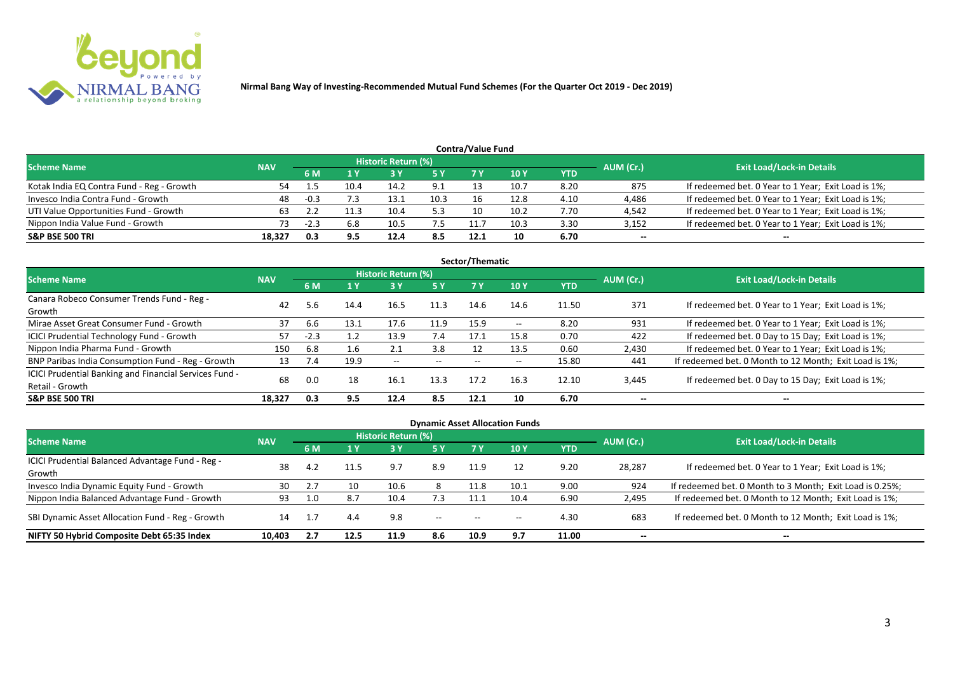

|                                           |            |      |      |                     |      | Contra/Value Fund |      |      |           |                                                     |
|-------------------------------------------|------------|------|------|---------------------|------|-------------------|------|------|-----------|-----------------------------------------------------|
| <b>Scheme Name</b>                        | <b>NAV</b> |      |      | Historic Return (%) |      |                   |      |      | AUM (Cr.) | <b>Exit Load/Lock-in Details</b>                    |
|                                           |            | 6 M  |      |                     | 5 Y  |                   | 10 Y | YTD  |           |                                                     |
| Kotak India EQ Contra Fund - Reg - Growth | 54         |      | 10.4 | 14.2                |      |                   | 10.7 | 8.20 | 875       | If redeemed bet. 0 Year to 1 Year; Exit Load is 1%; |
| Invesco India Contra Fund - Growth        | 48         | -0.3 |      | 13.1                | 10.3 |                   | 12.8 | 4.10 | 4,486     | If redeemed bet. 0 Year to 1 Year; Exit Load is 1%; |
| UTI Value Opportunities Fund - Growth     | 63         |      |      | 10.4                | 5.3  |                   | 10.2 | 7.70 | 4,542     | If redeemed bet. 0 Year to 1 Year; Exit Load is 1%; |
| Nippon India Value Fund - Growth          | 73         | -2.3 | 6.8  | 10.5                | 7.5  | 11.7              | 10.3 | 3.30 | 3,152     | If redeemed bet. 0 Year to 1 Year; Exit Load is 1%; |
| <b>S&amp;P BSE 500 TRI</b>                | 18.327     | 0.3  |      | 12.4                | 8.5  | 12.1              | 10   | 6.70 | --        | $- -$                                               |

|                                                        |            |        |      |                            |       | Sector/Thematic |               |       |           |                                                        |
|--------------------------------------------------------|------------|--------|------|----------------------------|-------|-----------------|---------------|-------|-----------|--------------------------------------------------------|
| <b>Scheme Name</b>                                     | <b>NAV</b> |        |      | <b>Historic Return (%)</b> |       |                 |               |       | AUM (Cr.) | <b>Exit Load/Lock-in Details</b>                       |
|                                                        |            | 6 M    | 1 Y  | 3 Y                        | 5 Y   |                 | 10Y           | YTD   |           |                                                        |
| Canara Robeco Consumer Trends Fund - Reg -             | 42         |        |      | 16.5                       |       | 14.6            | 14.6          |       | 371       |                                                        |
| Growth                                                 |            | 5.6    | 14.4 |                            | 11.3  |                 |               | 11.50 |           | If redeemed bet. 0 Year to 1 Year; Exit Load is 1%;    |
| Mirae Asset Great Consumer Fund - Growth               | 37         | 6.6    | 13.1 | 17.6                       | 11.9  | 15.9            | $\sim$ $\sim$ | 8.20  | 931       | If redeemed bet. 0 Year to 1 Year; Exit Load is 1%;    |
| <b>ICICI Prudential Technology Fund - Growth</b>       |            | $-2.3$ |      | 13.9                       | 7.4   | 17.1            | 15.8          | 0.70  | 422       | If redeemed bet. 0 Day to 15 Day; Exit Load is 1%;     |
| Nippon India Pharma Fund - Growth                      | 150        | 6.8    | 1.6  | 2.1                        | 3.8   | 12              | 13.5          | 0.60  | 2,430     | If redeemed bet. 0 Year to 1 Year; Exit Load is 1%;    |
| BNP Paribas India Consumption Fund - Reg - Growth      | 13         | 7.4    | 19.9 | $- -$                      | $- -$ | $- -$           |               | 15.80 | 441       | If redeemed bet. 0 Month to 12 Month; Exit Load is 1%; |
| ICICI Prudential Banking and Financial Services Fund - | 68         | 0.0    | 18   | 16.1                       | 13.3  | 17.2            | 16.3          | 12.10 | 3,445     | If redeemed bet. 0 Day to 15 Day; Exit Load is 1%;     |
| Retail - Growth                                        |            |        |      |                            |       |                 |               |       |           |                                                        |
| <b>S&amp;P BSE 500 TRI</b>                             | 18.327     | 0.3    | 9.5  | 12.4                       | 8.5   | 12.1            | 10            | 6.70  |           |                                                        |

| <b>Dynamic Asset Allocation Funds</b>            |            |           |              |                     |                          |      |       |            |           |                                                          |  |  |  |  |
|--------------------------------------------------|------------|-----------|--------------|---------------------|--------------------------|------|-------|------------|-----------|----------------------------------------------------------|--|--|--|--|
| <b>Scheme Name</b>                               | <b>NAV</b> |           |              | Historic Return (%) |                          |      |       |            | AUM (Cr.) | <b>Exit Load/Lock-in Details</b>                         |  |  |  |  |
|                                                  |            | <b>6M</b> | $\sqrt{1}$ Y | <b>3 Y</b>          | <b>5 Y</b>               | 7 Y  | 10Y   | <b>YTD</b> |           |                                                          |  |  |  |  |
| ICICI Prudential Balanced Advantage Fund - Reg - | 38         | -4.2      | 11.5         | 9.7                 | 8.9                      | 11.9 | 12    | 9.20       | 28,287    | If redeemed bet. 0 Year to 1 Year; Exit Load is 1%;      |  |  |  |  |
| Growth                                           |            |           |              |                     |                          |      |       |            |           |                                                          |  |  |  |  |
| Invesco India Dynamic Equity Fund - Growth       | 30         |           | 10           | 10.6                |                          | 11.8 | 10.1  | 9.00       | 924       | If redeemed bet. 0 Month to 3 Month; Exit Load is 0.25%; |  |  |  |  |
| Nippon India Balanced Advantage Fund - Growth    | 93         | 1.0       | 8.7          |                     | 7.3                      | 11.1 | 10.4  | 6.90       | 2,495     | If redeemed bet. 0 Month to 12 Month; Exit Load is 1%;   |  |  |  |  |
| SBI Dynamic Asset Allocation Fund - Reg - Growth | 14         |           | 4.4          | 9.8                 | $\overline{\phantom{a}}$ | $-$  | $- -$ | 4.30       | 683       | If redeemed bet. 0 Month to 12 Month; Exit Load is 1%;   |  |  |  |  |
| NIFTY 50 Hybrid Composite Debt 65:35 Index       | 10.403     |           | 12.5         | 11.9                | 8.6                      | 10.9 | 9.7   | 11.00      | $- -$     | --                                                       |  |  |  |  |

## **Contra/Value Fund**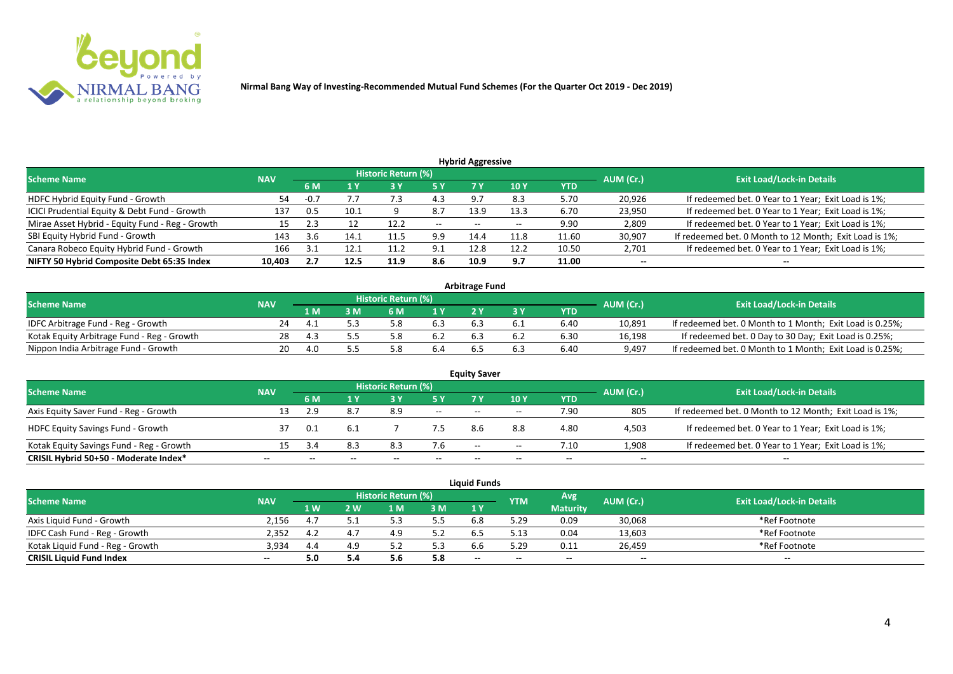

| <b>Hybrid Aggressive</b>                        |            |        |      |                            |                               |                          |       |       |           |                                                        |  |  |  |
|-------------------------------------------------|------------|--------|------|----------------------------|-------------------------------|--------------------------|-------|-------|-----------|--------------------------------------------------------|--|--|--|
| <b>Scheme Name</b>                              | <b>NAV</b> |        |      | <b>Historic Return (%)</b> |                               |                          |       |       | AUM (Cr.) | <b>Exit Load/Lock-in Details</b>                       |  |  |  |
|                                                 |            | 6 M    |      |                            | 5 Y<br>10 <sub>1</sub><br>YTD |                          |       |       |           |                                                        |  |  |  |
| HDFC Hybrid Equity Fund - Growth                | 54         | $-0.7$ |      | ر.,                        | 4.3                           | 9.7                      | 8.3   | 5.70  | 20,926    | If redeemed bet. 0 Year to 1 Year; Exit Load is 1%;    |  |  |  |
| ICICI Prudential Equity & Debt Fund - Growth    | 137        |        | 10.1 |                            | 8.7                           | 13.9                     | 13.3  | 6.70  | 23,950    | If redeemed bet. 0 Year to 1 Year; Exit Load is 1%;    |  |  |  |
| Mirae Asset Hybrid - Equity Fund - Reg - Growth | 15         |        |      | 12.2                       | $- -$                         | $\overline{\phantom{a}}$ | $- -$ | 9.90  | 2,809     | If redeemed bet. 0 Year to 1 Year; Exit Load is 1%;    |  |  |  |
| SBI Equity Hybrid Fund - Growth                 | 143        | 3.b    | 14.1 | 11.5                       | 9.9                           | 14.4                     | 11.8  | 11.60 | 30,907    | If redeemed bet. 0 Month to 12 Month; Exit Load is 1%; |  |  |  |
| Canara Robeco Equity Hybrid Fund - Growth       | 166        |        |      | 11.                        | <b>q</b> 1                    | 12.8                     | 12.2  | 10.50 | 2,701     | If redeemed bet. 0 Year to 1 Year; Exit Load is 1%;    |  |  |  |
| NIFTY 50 Hybrid Composite Debt 65:35 Index      | 10,403     | 2.7    | 12.5 | 11.9                       | 8.6                           | 10.9                     | 9.7   | 11.00 | $- -$     | $- -$                                                  |  |  |  |

| <b>Arbitrage Fund</b>                      |            |     |   |                     |     |     |     |      |           |                                                          |  |  |  |
|--------------------------------------------|------------|-----|---|---------------------|-----|-----|-----|------|-----------|----------------------------------------------------------|--|--|--|
| <b>Scheme Name</b>                         | <b>NAV</b> |     |   | Historic Return (%) |     |     |     |      | AUM (Cr.) | <b>Exit Load/Lock-in Details</b>                         |  |  |  |
|                                            |            | 1 M | M | ና M                 | 1 V |     |     | YTD  |           |                                                          |  |  |  |
| IDFC Arbitrage Fund - Reg - Growth         | 24         |     |   |                     | 6.3 |     |     | 6.40 | 10,891    | If redeemed bet. 0 Month to 1 Month; Exit Load is 0.25%; |  |  |  |
| Kotak Equity Arbitrage Fund - Reg - Growth | 28         |     |   |                     | 6.2 | 6.3 | b.Z | 6.30 | 16,198    | If redeemed bet. 0 Day to 30 Day; Exit Load is 0.25%;    |  |  |  |
| Nippon India Arbitrage Fund - Growth       |            |     |   |                     |     |     |     | 6.40 | 9,497     | If redeemed bet. 0 Month to 1 Month; Exit Load is 0.25%; |  |  |  |

|                                          |            |      |      | <b>Historic Return (%)</b> |                          | <b>Equity Saver</b> |       |      |           |                                                        |
|------------------------------------------|------------|------|------|----------------------------|--------------------------|---------------------|-------|------|-----------|--------------------------------------------------------|
| <b>Scheme Name</b>                       | <b>NAV</b> | 6 M  |      |                            | 5 Y                      |                     | 10Y   | YTD  | AUM (Cr.) | <b>Exit Load/Lock-in Details</b>                       |
| Axis Equity Saver Fund - Reg - Growth    | 13         |      | 8.7  | 8.9                        | $\overline{\phantom{a}}$ | $-$                 | $- -$ | 7.90 | 805       | If redeemed bet. 0 Month to 12 Month; Exit Load is 1%; |
| <b>HDFC Equity Savings Fund - Growth</b> |            | -0.1 | -6.1 |                            |                          |                     | 8.8   | 4.80 | 4,503     | If redeemed bet. 0 Year to 1 Year; Exit Load is 1%;    |
| Kotak Equity Savings Fund - Reg - Growth | 15         | -271 | 8.3  |                            | 7.6                      | $-$                 | $- -$ | 7.10 | 1,908     | If redeemed bet. 0 Year to 1 Year; Exit Load is 1%;    |
| CRISIL Hybrid 50+50 - Moderate Index*    | --         |      |      |                            | $- -$                    | $- -$               | --    | $-$  | $- -$     | $-$                                                    |

|                                  |            |            |     |                            |     | <b>Liquid Funds</b> |            |                 |           |                                  |
|----------------------------------|------------|------------|-----|----------------------------|-----|---------------------|------------|-----------------|-----------|----------------------------------|
| <b>Scheme Name</b>               | <b>NAV</b> |            |     | <b>Historic Return (%)</b> |     |                     | <b>YTM</b> | Avg             | AUM (Cr.) | <b>Exit Load/Lock-in Details</b> |
|                                  |            | <b>1 W</b> | 2 W | 1 M                        | 3 M | 1 Y                 |            | <b>Maturity</b> |           |                                  |
| Axis Liguid Fund - Growth        | 2.156      |            |     |                            | 5.5 |                     | 5.29       | 0.09            | 30,068    | *Ref Footnote                    |
| IDFC Cash Fund - Reg - Growth    | 2.352      | 4.2        |     |                            | 5.2 |                     | 5.13       | 0.04            | 13,603    | *Ref Footnote                    |
| Kotak Liguid Fund - Reg - Growth | 3,934      | 4.4        |     | <u>.</u>                   | 5.3 |                     | 29.د       | 0.11            | 26,459    | *Ref Footnote                    |
| <b>CRISIL Liquid Fund Index</b>  | $- -$      |            |     | J.C                        | 5.8 | $-$                 | $- -$      | $-$             | --        | $- -$                            |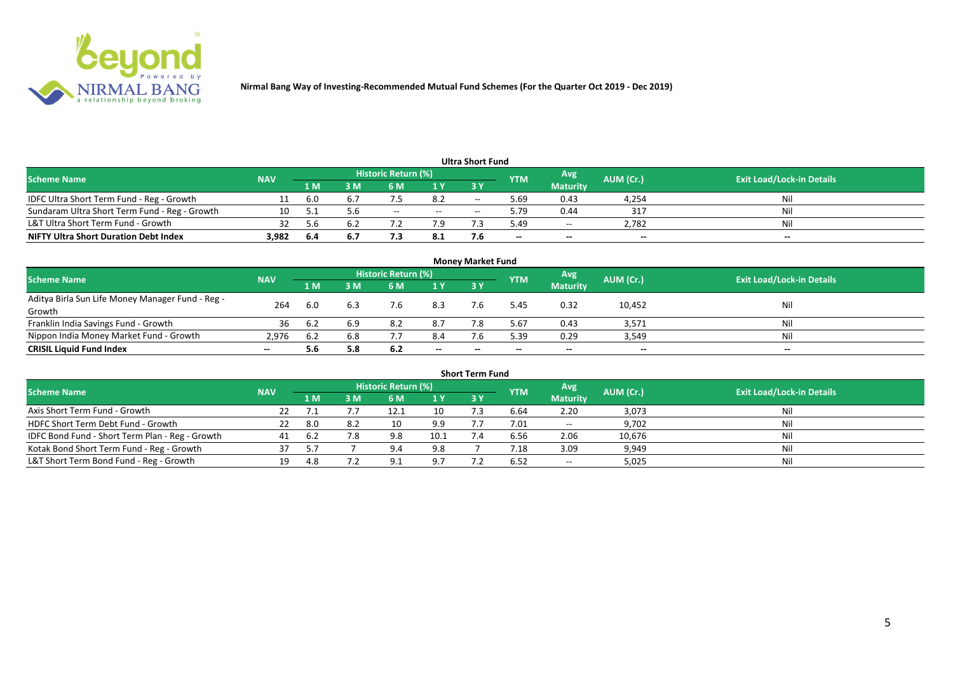

|                                               |            |      |      |                     |       | <b>Ultra Short Fund</b> |            |                 |           |                                  |
|-----------------------------------------------|------------|------|------|---------------------|-------|-------------------------|------------|-----------------|-----------|----------------------------------|
| <b>Scheme Name</b>                            | <b>NAV</b> |      |      | Historic Return (%) |       |                         | <b>YTM</b> | Avg.            | AUM (Cr.) | <b>Exit Load/Lock-in Details</b> |
|                                               |            | '1 M | . M  | 6 M                 | 1 Y   | 3Y                      |            | <b>Maturity</b> |           |                                  |
| IDFC Ultra Short Term Fund - Reg - Growth     |            | 6.0  | b. / |                     | 8.2   | $- -$                   | 5.69       | 0.43            | 4,254     | Nil                              |
| Sundaram Ultra Short Term Fund - Reg - Growth | 10         |      |      | $- -$               | $- -$ | $-$                     | 5.79       | 0.44            | 317       | Nil                              |
| L&T Ultra Short Term Fund - Growth            | 32         | 5.6  | 6.2  |                     | 7.9   |                         | 5.49       | $\sim$ $\sim$   | 2.782     | Nil                              |
| <b>NIFTY Ultra Short Duration Debt Index</b>  | 3,982      | -6.4 | ь.   | , , ,               | 8.1   |                         | $\sim$     | $- -$           | $- -$     | $- -$                            |

| <b>Money Market Fund</b>                         |            |      |     |                     |       |           |            |                 |           |                                  |  |  |  |  |
|--------------------------------------------------|------------|------|-----|---------------------|-------|-----------|------------|-----------------|-----------|----------------------------------|--|--|--|--|
| <b>Scheme Name</b>                               | <b>NAV</b> |      |     | Historic Return (%) |       |           | <b>YTM</b> | Avg.            | AUM (Cr.) | <b>Exit Load/Lock-in Details</b> |  |  |  |  |
|                                                  |            | '1 M | 3 M | 6 M                 | 1Y    | <b>3Y</b> |            | <b>Maturity</b> |           |                                  |  |  |  |  |
| Aditya Birla Sun Life Money Manager Fund - Reg - | 264        | 6.0  | 6.3 |                     | 8.3   |           | .45        | 0.32            | 10,452    | Nil                              |  |  |  |  |
| Growth                                           |            |      |     |                     |       |           |            |                 |           |                                  |  |  |  |  |
| Franklin India Savings Fund - Growth             | 36         |      | 6.9 | 8.2                 | 8.7   |           | 5.67       | 0.43            | 3,571     | Nil                              |  |  |  |  |
| Nippon India Money Market Fund - Growth          | 2.976      | 6.2  | 6.8 |                     | 8.4   |           | 5.39       | 0.29            | 3,549     | Nil                              |  |  |  |  |
| <b>CRISIL Liquid Fund Index</b>                  |            |      | 5.8 | 6.2                 | $- -$ |           | $- -$      | $- -$           | $- -$     | $- -$                            |  |  |  |  |

|                                                 |            |      |     |                            |      | <b>Short Term Fund</b> |            |                 |           |                                  |
|-------------------------------------------------|------------|------|-----|----------------------------|------|------------------------|------------|-----------------|-----------|----------------------------------|
| <b>Scheme Name</b>                              | <b>NAV</b> |      |     | <b>Historic Return (%)</b> |      |                        | <b>YTM</b> | Avg             | AUM (Cr.) | <b>Exit Load/Lock-in Details</b> |
|                                                 |            | 1 M  | 3 M | <b>6M</b>                  | 1Y   | <b>3 Y</b>             |            | <b>Maturity</b> |           |                                  |
| Axis Short Term Fund - Growth                   | 22         |      |     | 12.1                       | 10   |                        | 6.64       | 2.20            | 3,073     | Nil                              |
| HDFC Short Term Debt Fund - Growth              | 22         | 8.0  |     | 10                         | 9.9  |                        | 7.01       | $\sim$ $\sim$   | 9,702     | Nil                              |
| IDFC Bond Fund - Short Term Plan - Reg - Growth |            |      |     | 9.8                        | 10.1 |                        | 6.56       | 2.06            | 10,676    | Nil                              |
| Kotak Bond Short Term Fund - Reg - Growth       |            | 57   |     | 9.4                        | 9.8  |                        | 7.18       | 3.09            | 9,949     | Nil                              |
| L&T Short Term Bond Fund - Reg - Growth         | 19         | -4.8 |     | 9 1                        | 9.7  |                        | 6.52       | $- -$           | 5,025     | Nil                              |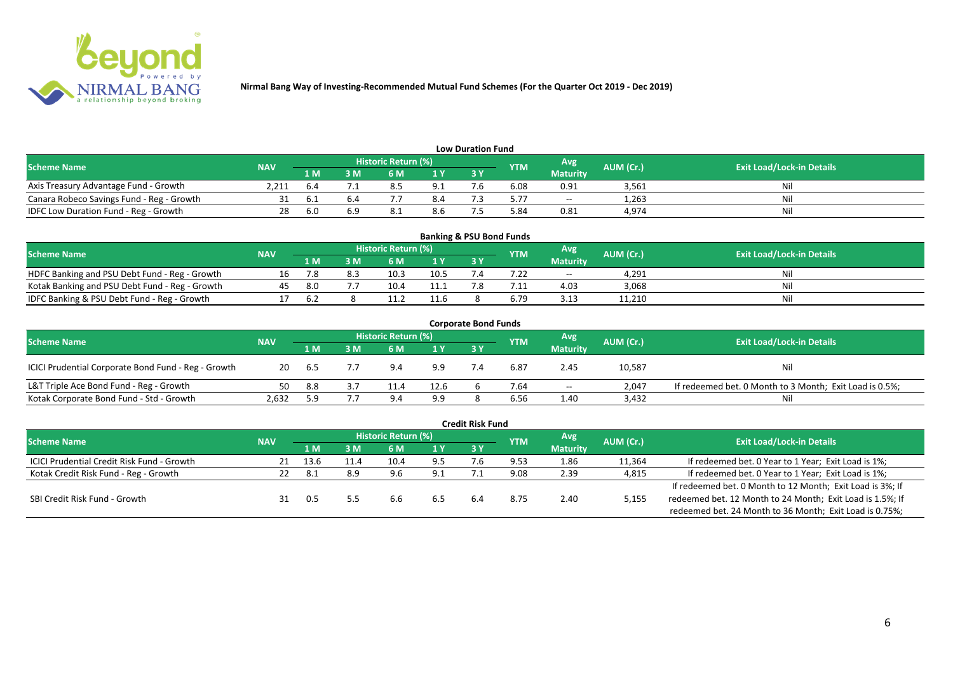

| <b>Low Duration Fund</b>                  |            |      |    |                            |     |    |            |                 |           |                                  |  |  |  |  |
|-------------------------------------------|------------|------|----|----------------------------|-----|----|------------|-----------------|-----------|----------------------------------|--|--|--|--|
| <b>Scheme Name</b>                        | <b>NAV</b> |      |    | <b>Historic Return (%)</b> |     |    | <b>YTM</b> | Avg             | AUM (Cr.) | <b>Exit Load/Lock-in Details</b> |  |  |  |  |
|                                           |            | 1 M  | sм |                            | 1 Y | 3Y |            | <b>Maturity</b> |           |                                  |  |  |  |  |
| Axis Treasury Advantage Fund - Growth     | 2.211      | b.4  |    |                            |     |    | 6.08       | 0.91            | 3,561     | Ni                               |  |  |  |  |
| Canara Robeco Savings Fund - Reg - Growth |            |      |    |                            | 8.4 |    | 5.77       | $\sim$          | 1,263     |                                  |  |  |  |  |
| IDFC Low Duration Fund - Reg - Growth     | 28         | -6.0 |    | O.1                        | 8.b |    | 84.د       | 0.81            | 4,974     | Ni                               |  |  |  |  |

| <b>Banking &amp; PSU Bond Funds</b>            |            |      |     |                            |      |      |     |                 |           |                                  |  |  |  |
|------------------------------------------------|------------|------|-----|----------------------------|------|------|-----|-----------------|-----------|----------------------------------|--|--|--|
| <b>Scheme Name</b>                             | <b>NAV</b> |      |     | <b>Historic Return (%)</b> |      |      | YTM | Avg             | AUM (Cr.) | <b>Exit Load/Lock-in Details</b> |  |  |  |
|                                                |            | 1 M' | 3 M | 6 M                        | 1 Y  | 73 Y |     | <b>Maturity</b> |           |                                  |  |  |  |
| HDFC Banking and PSU Debt Fund - Reg - Growth  |            |      |     | 10.3                       | 10.5 |      |     | $- -$           | 4.291     |                                  |  |  |  |
| Kotak Banking and PSU Debt Fund - Reg - Growth | 45         | -8.0 |     | 10.4                       | 11.1 |      |     | 4.03            | 3,068     |                                  |  |  |  |
| IDFC Banking & PSU Debt Fund - Reg - Growth    |            | .b 2 |     |                            | 11.6 |      |     | 3.13            | 11,210    |                                  |  |  |  |

|                                                     |            |      |     |                     |      | <b>Corporate Bond Funds</b> |            |                 |           |                                                         |
|-----------------------------------------------------|------------|------|-----|---------------------|------|-----------------------------|------------|-----------------|-----------|---------------------------------------------------------|
| <b>Scheme Name</b>                                  | <b>NAV</b> |      |     | Historic Return (%) |      |                             | <b>YTM</b> | Avg             | AUM (Cr.) | <b>Exit Load/Lock-in Details</b>                        |
|                                                     |            | 1 M  | 3 M | 6 M                 | 1 Y  | <b>3Y</b>                   |            | <b>Maturity</b> |           |                                                         |
| ICICI Prudential Corporate Bond Fund - Reg - Growth | 20         | -6.5 |     | 9.4                 | 9.9  |                             | 6.87       | 2.45            | 10,587    | Nil                                                     |
| L&T Triple Ace Bond Fund - Reg - Growth             | 50         | 8.8  |     |                     | 12.6 |                             | 7.64       | $- -$           | 2.047     | If redeemed bet. 0 Month to 3 Month; Exit Load is 0.5%; |
| Kotak Corporate Bond Fund - Std - Growth            | 2,632      | 59   |     | $9\Delta$           | 9.9  |                             | 6.56       | 1.40            | 3,432     | Ni                                                      |

|                                                   |            |      |     |                     |     | <b>Credit Risk Fund</b> |            |                 |           |                                                           |
|---------------------------------------------------|------------|------|-----|---------------------|-----|-------------------------|------------|-----------------|-----------|-----------------------------------------------------------|
| <b>Scheme Name</b>                                | <b>NAV</b> |      |     | Historic Return (%) |     |                         | <b>YTM</b> | Avg             | AUM (Cr.) | <b>Exit Load/Lock-in Details</b>                          |
|                                                   |            | 1 M  | ١M  | 6 M                 | 1 Y | 3V                      |            | <b>Maturity</b> |           |                                                           |
| <b>ICICI Prudential Credit Risk Fund - Growth</b> | 21         | 13.6 | . 4 |                     | 9.5 |                         | 9.53       | 1.86            | 11,364    | If redeemed bet. 0 Year to 1 Year; Exit Load is 1%;       |
| Kotak Credit Risk Fund - Reg - Growth             | 22         | 8.1  | 8.9 | 9.6                 | 9.1 |                         | 9.08       | 2.39            | 4,815     | If redeemed bet. 0 Year to 1 Year; Exit Load is 1%;       |
|                                                   |            |      |     |                     |     |                         |            |                 |           | If redeemed bet. 0 Month to 12 Month; Exit Load is 3%; If |
| SBI Credit Risk Fund - Growth                     |            | 0.5  |     | b.b                 | 6.5 | 6.4                     | 8.75       | 2.40            | 5,155     | redeemed bet. 12 Month to 24 Month; Exit Load is 1.5%; If |
|                                                   |            |      |     |                     |     |                         |            |                 |           | redeemed bet. 24 Month to 36 Month; Exit Load is 0.75%;   |